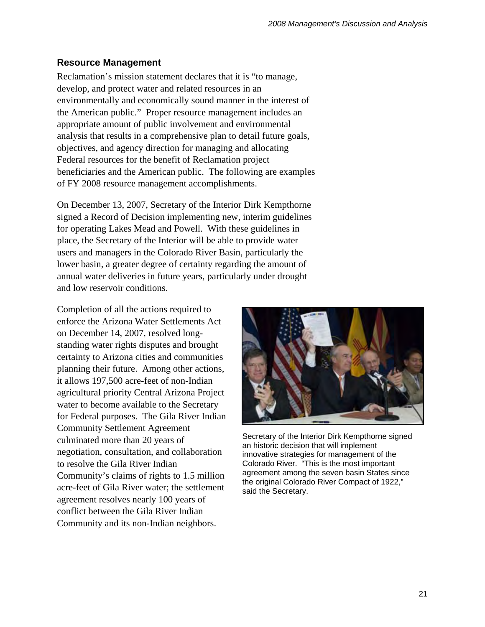### **Resource Management**

Reclamation's mission statement declares that it is "to manage, develop, and protect water and related resources in an environmentally and economically sound manner in the interest of the American public." Proper resource management includes an appropriate amount of public involvement and environmental analysis that results in a comprehensive plan to detail future goals, objectives, and agency direction for managing and allocating Federal resources for the benefit of Reclamation project beneficiaries and the American public. The following are examples of FY 2008 resource management accomplishments.

On December 13, 2007, Secretary of the Interior Dirk Kempthorne signed a Record of Decision implementing new, interim guidelines for operating Lakes Mead and Powell. With these guidelines in place, the Secretary of the Interior will be able to provide water users and managers in the Colorado River Basin, particularly the lower basin, a greater degree of certainty regarding the amount of annual water deliveries in future years, particularly under drought and low reservoir conditions.

Completion of all the actions required to enforce the Arizona Water Settlements Act on December 14, 2007, resolved longstanding water rights disputes and brought certainty to Arizona cities and communities planning their future. Among other actions, it allows 197,500 acre-feet of non-Indian agricultural priority Central Arizona Project water to become available to the Secretary for Federal purposes. The Gila River Indian Community Settlement Agreement culminated more than 20 years of negotiation, consultation, and collaboration to resolve the Gila River Indian Community's claims of rights to 1.5 million acre-feet of Gila River water; the settlement agreement resolves nearly 100 years of conflict between the Gila River Indian Community and its non-Indian neighbors.



Secretary of the Interior Dirk Kempthorne signed an historic decision that will implement innovative strategies for management of the Colorado River. "This is the most important agreement among the seven basin States since the original Colorado River Compact of 1922," said the Secretary.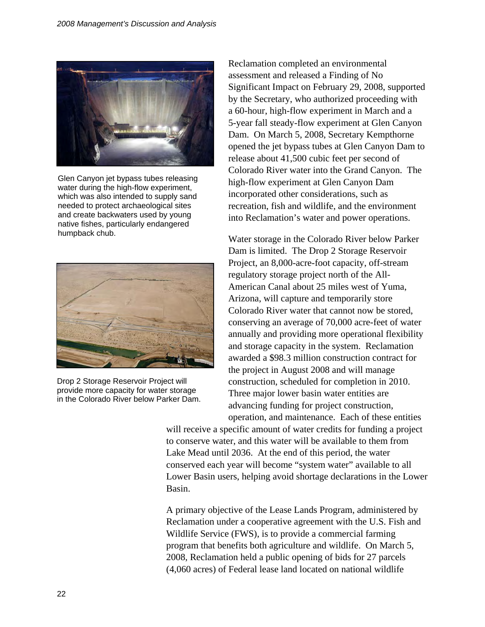

Glen Canyon jet bypass tubes releasing water during the high-flow experiment, which was also intended to supply sand needed to protect archaeological sites and create backwaters used by young native fishes, particularly endangered humpback chub.



Drop 2 Storage Reservoir Project will provide more capacity for water storage in the Colorado River below Parker Dam.

Reclamation completed an environmental assessment and released a Finding of No Significant Impact on February 29, 2008, supported by the Secretary, who authorized proceeding with a 60-hour, high-flow experiment in March and a 5-year fall steady-flow experiment at Glen Canyon Dam. On March 5, 2008, Secretary Kempthorne opened the jet bypass tubes at Glen Canyon Dam to release about 41,500 cubic feet per second of Colorado River water into the Grand Canyon. The high-flow experiment at Glen Canyon Dam incorporated other considerations, such as recreation, fish and wildlife, and the environment into Reclamation's water and power operations.

Water storage in the Colorado River below Parker Dam is limited. The Drop 2 Storage Reservoir Project, an 8,000-acre-foot capacity, off-stream regulatory storage project north of the All-American Canal about 25 miles west of Yuma, Arizona, will capture and temporarily store Colorado River water that cannot now be stored, conserving an average of 70,000 acre-feet of water annually and providing more operational flexibility and storage capacity in the system. Reclamation awarded a \$98.3 million construction contract for the project in August 2008 and will manage construction, scheduled for completion in 2010. Three major lower basin water entities are advancing funding for project construction, operation, and maintenance. Each of these entities

will receive a specific amount of water credits for funding a project to conserve water, and this water will be available to them from Lake Mead until 2036. At the end of this period, the water conserved each year will become "system water" available to all Lower Basin users, helping avoid shortage declarations in the Lower Basin.

A primary objective of the Lease Lands Program, administered by Reclamation under a cooperative agreement with the U.S. Fish and Wildlife Service (FWS), is to provide a commercial farming program that benefits both agriculture and wildlife. On March 5, 2008, Reclamation held a public opening of bids for 27 parcels (4,060 acres) of Federal lease land located on national wildlife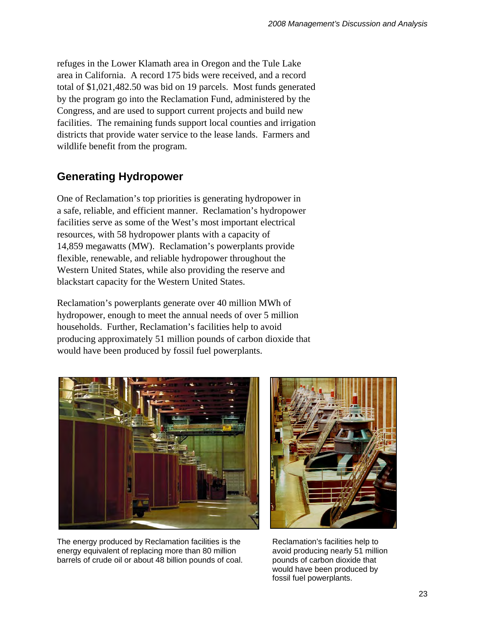refuges in the Lower Klamath area in Oregon and the Tule Lake area in California. A record 175 bids were received, and a record total of \$1,021,482.50 was bid on 19 parcels. Most funds generated by the program go into the Reclamation Fund, administered by the Congress, and are used to support current projects and build new facilities. The remaining funds support local counties and irrigation districts that provide water service to the lease lands. Farmers and wildlife benefit from the program.

# **Generating Hydropower**

One of Reclamation's top priorities is generating hydropower in a safe, reliable, and efficient manner. Reclamation's hydropower facilities serve as some of the West's most important electrical resources, with 58 hydropower plants with a capacity of 14,859 megawatts (MW). Reclamation's powerplants provide flexible, renewable, and reliable hydropower throughout the Western United States, while also providing the reserve and blackstart capacity for the Western United States.

Reclamation's powerplants generate over 40 million MWh of hydropower, enough to meet the annual needs of over 5 million households. Further, Reclamation's facilities help to avoid producing approximately 51 million pounds of carbon dioxide that would have been produced by fossil fuel powerplants.



The energy produced by Reclamation facilities is the energy equivalent of replacing more than 80 million barrels of crude oil or about 48 billion pounds of coal.



Reclamation's facilities help to avoid producing nearly 51 million pounds of carbon dioxide that would have been produced by fossil fuel powerplants.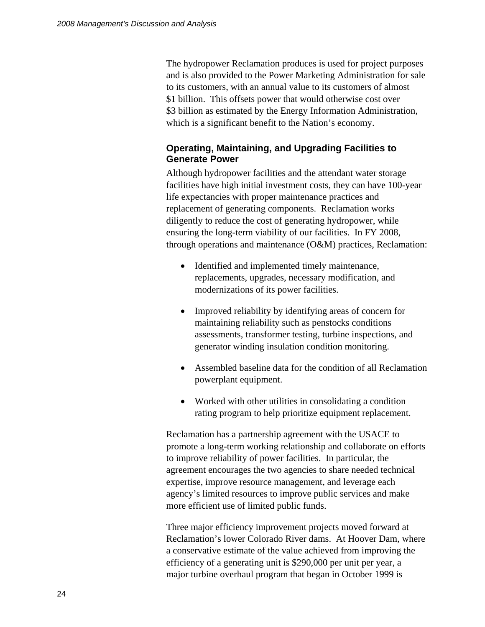The hydropower Reclamation produces is used for project purposes and is also provided to the Power Marketing Administration for sale to its customers, with an annual value to its customers of almost \$1 billion. This offsets power that would otherwise cost over \$3 billion as estimated by the Energy Information Administration, which is a significant benefit to the Nation's economy.

#### **Operating, Maintaining, and Upgrading Facilities to Generate Power**

Although hydropower facilities and the attendant water storage facilities have high initial investment costs, they can have 100-year life expectancies with proper maintenance practices and replacement of generating components. Reclamation works diligently to reduce the cost of generating hydropower, while ensuring the long-term viability of our facilities. In FY 2008, through operations and maintenance (O&M) practices, Reclamation:

- Identified and implemented timely maintenance, replacements, upgrades, necessary modification, and modernizations of its power facilities.
- Improved reliability by identifying areas of concern for maintaining reliability such as penstocks conditions assessments, transformer testing, turbine inspections, and generator winding insulation condition monitoring.
- Assembled baseline data for the condition of all Reclamation powerplant equipment.
- Worked with other utilities in consolidating a condition rating program to help prioritize equipment replacement.

Reclamation has a partnership agreement with the USACE to promote a long-term working relationship and collaborate on efforts to improve reliability of power facilities. In particular, the agreement encourages the two agencies to share needed technical expertise, improve resource management, and leverage each agency's limited resources to improve public services and make more efficient use of limited public funds.

Three major efficiency improvement projects moved forward at Reclamation's lower Colorado River dams. At Hoover Dam, where a conservative estimate of the value achieved from improving the efficiency of a generating unit is \$290,000 per unit per year, a major turbine overhaul program that began in October 1999 is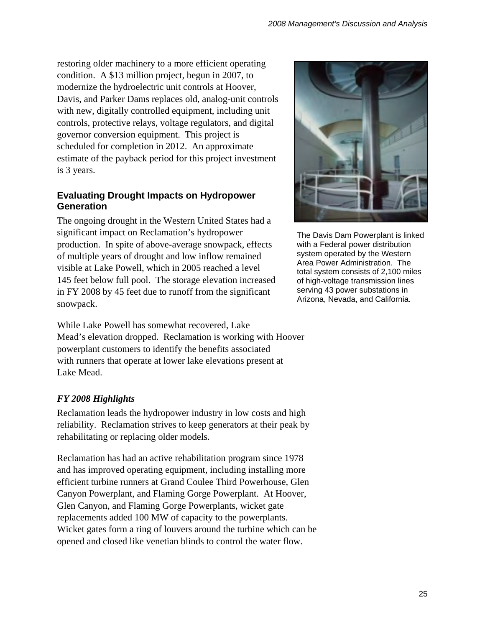restoring older machinery to a more efficient operating condition. A \$13 million project, begun in 2007, to modernize the hydroelectric unit controls at Hoover, Davis, and Parker Dams replaces old, analog-unit controls with new, digitally controlled equipment, including unit controls, protective relays, voltage regulators, and digital governor conversion equipment. This project is scheduled for completion in 2012. An approximate estimate of the payback period for this project investment is 3 years.

## **Evaluating Drought Impacts on Hydropower Generation**

The ongoing drought in the Western United States had a significant impact on Reclamation's hydropower production. In spite of above-average snowpack, effects of multiple years of drought and low inflow remained visible at Lake Powell, which in 2005 reached a level 145 feet below full pool. The storage elevation increased in FY 2008 by 45 feet due to runoff from the significant snowpack.

While Lake Powell has somewhat recovered, Lake Mead's elevation dropped. Reclamation is working with Hoover powerplant customers to identify the benefits associated with runners that operate at lower lake elevations present at Lake Mead.

# *FY 2008 Highlights*

Reclamation leads the hydropower industry in low costs and high reliability. Reclamation strives to keep generators at their peak by rehabilitating or replacing older models.

Reclamation has had an active rehabilitation program since 1978 and has improved operating equipment, including installing more efficient turbine runners at Grand Coulee Third Powerhouse, Glen Canyon Powerplant, and Flaming Gorge Powerplant. At Hoover, Glen Canyon, and Flaming Gorge Powerplants, wicket gate replacements added 100 MW of capacity to the powerplants. Wicket gates form a ring of louvers around the turbine which can be opened and closed like venetian blinds to control the water flow.



The Davis Dam Powerplant is linked with a Federal power distribution system operated by the Western Area Power Administration. The total system consists of 2,100 miles of high-voltage transmission lines serving 43 power substations in Arizona, Nevada, and California.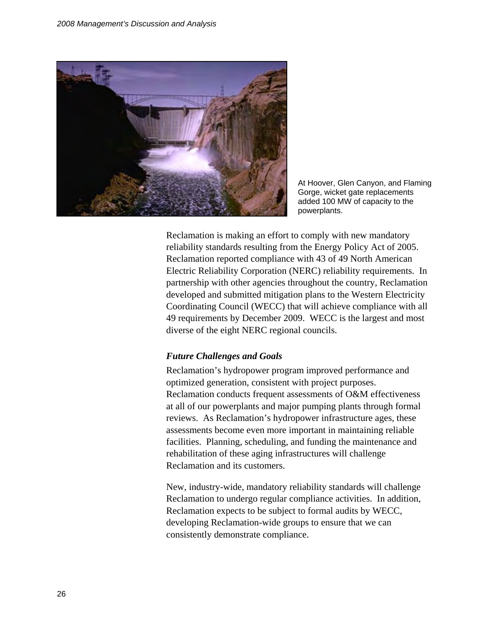

At Hoover, Glen Canyon, and Flaming Gorge, wicket gate replacements added 100 MW of capacity to the powerplants.

Reclamation is making an effort to comply with new mandatory reliability standards resulting from the Energy Policy Act of 2005. Reclamation reported compliance with 43 of 49 North American Electric Reliability Corporation (NERC) reliability requirements. In partnership with other agencies throughout the country, Reclamation developed and submitted mitigation plans to the Western Electricity Coordinating Council (WECC) that will achieve compliance with all 49 requirements by December 2009. WECC is the largest and most diverse of the eight NERC regional councils.

#### *Future Challenges and Goals*

Reclamation's hydropower program improved performance and optimized generation, consistent with project purposes. Reclamation conducts frequent assessments of O&M effectiveness at all of our powerplants and major pumping plants through formal reviews. As Reclamation's hydropower infrastructure ages, these assessments become even more important in maintaining reliable facilities. Planning, scheduling, and funding the maintenance and rehabilitation of these aging infrastructures will challenge Reclamation and its customers.

New, industry-wide, mandatory reliability standards will challenge Reclamation to undergo regular compliance activities. In addition, Reclamation expects to be subject to formal audits by WECC, developing Reclamation-wide groups to ensure that we can consistently demonstrate compliance.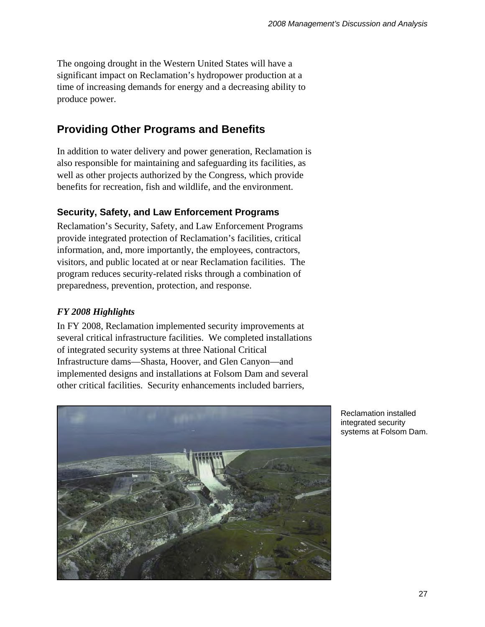The ongoing drought in the Western United States will have a significant impact on Reclamation's hydropower production at a time of increasing demands for energy and a decreasing ability to produce power.

# **Providing Other Programs and Benefits**

In addition to water delivery and power generation, Reclamation is also responsible for maintaining and safeguarding its facilities, as well as other projects authorized by the Congress, which provide benefits for recreation, fish and wildlife, and the environment.

# **Security, Safety, and Law Enforcement Programs**

Reclamation's Security, Safety, and Law Enforcement Programs provide integrated protection of Reclamation's facilities, critical information, and, more importantly, the employees, contractors, visitors, and public located at or near Reclamation facilities. The program reduces security-related risks through a combination of preparedness, prevention, protection, and response.

# *FY 2008 Highlights*

In FY 2008, Reclamation implemented security improvements at several critical infrastructure facilities. We completed installations of integrated security systems at three National Critical Infrastructure dams—Shasta, Hoover, and Glen Canyon—and implemented designs and installations at Folsom Dam and several other critical facilities. Security enhancements included barriers,



Reclamation installed integrated security systems at Folsom Dam.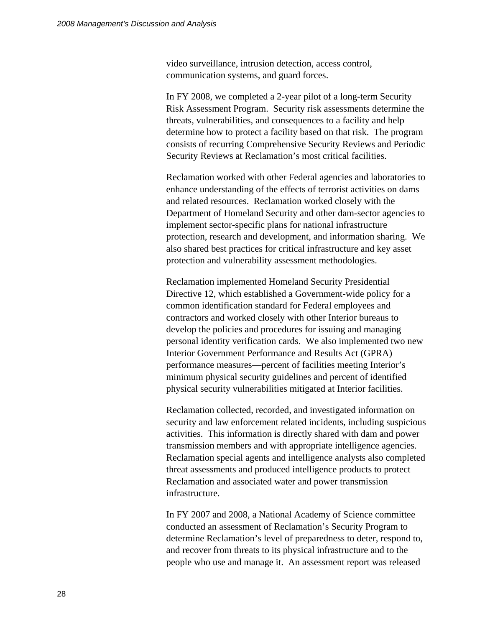video surveillance, intrusion detection, access control, communication systems, and guard forces.

In FY 2008, we completed a 2-year pilot of a long-term Security Risk Assessment Program. Security risk assessments determine the threats, vulnerabilities, and consequences to a facility and help determine how to protect a facility based on that risk. The program consists of recurring Comprehensive Security Reviews and Periodic Security Reviews at Reclamation's most critical facilities.

Reclamation worked with other Federal agencies and laboratories to enhance understanding of the effects of terrorist activities on dams and related resources. Reclamation worked closely with the Department of Homeland Security and other dam-sector agencies to implement sector-specific plans for national infrastructure protection, research and development, and information sharing. We also shared best practices for critical infrastructure and key asset protection and vulnerability assessment methodologies.

Reclamation implemented Homeland Security Presidential Directive 12, which established a Government-wide policy for a common identification standard for Federal employees and contractors and worked closely with other Interior bureaus to develop the policies and procedures for issuing and managing personal identity verification cards. We also implemented two new Interior Government Performance and Results Act (GPRA) performance measures—percent of facilities meeting Interior's minimum physical security guidelines and percent of identified physical security vulnerabilities mitigated at Interior facilities.

Reclamation collected, recorded, and investigated information on security and law enforcement related incidents, including suspicious activities. This information is directly shared with dam and power transmission members and with appropriate intelligence agencies. Reclamation special agents and intelligence analysts also completed threat assessments and produced intelligence products to protect Reclamation and associated water and power transmission infrastructure.

In FY 2007 and 2008, a National Academy of Science committee conducted an assessment of Reclamation's Security Program to determine Reclamation's level of preparedness to deter, respond to, and recover from threats to its physical infrastructure and to the people who use and manage it. An assessment report was released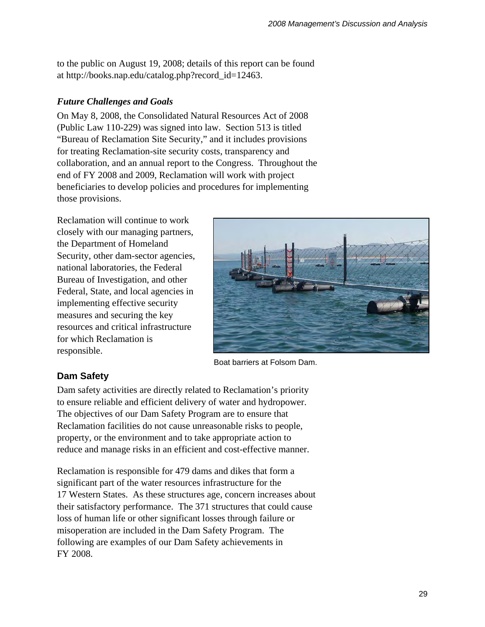to the public on August 19, 2008; details of this report can be found at http://books.nap.edu/catalog.php?record\_id=12463.

### *Future Challenges and Goals*

On May 8, 2008, the Consolidated Natural Resources Act of 2008 (Public Law 110-229) was signed into law. Section 513 is titled "Bureau of Reclamation Site Security," and it includes provisions for treating Reclamation-site security costs, transparency and collaboration, and an annual report to the Congress. Throughout the end of FY 2008 and 2009, Reclamation will work with project beneficiaries to develop policies and procedures for implementing those provisions.

Reclamation will continue to work closely with our managing partners, the Department of Homeland Security, other dam-sector agencies, national laboratories, the Federal Bureau of Investigation, and other Federal, State, and local agencies in implementing effective security measures and securing the key resources and critical infrastructure for which Reclamation is responsible.



Boat barriers at Folsom Dam.

# **Dam Safety**

Dam safety activities are directly related to Reclamation's priority to ensure reliable and efficient delivery of water and hydropower. The objectives of our Dam Safety Program are to ensure that Reclamation facilities do not cause unreasonable risks to people, property, or the environment and to take appropriate action to reduce and manage risks in an efficient and cost-effective manner.

Reclamation is responsible for 479 dams and dikes that form a significant part of the water resources infrastructure for the 17 Western States. As these structures age, concern increases about their satisfactory performance. The 371 structures that could cause loss of human life or other significant losses through failure or misoperation are included in the Dam Safety Program. The following are examples of our Dam Safety achievements in FY 2008.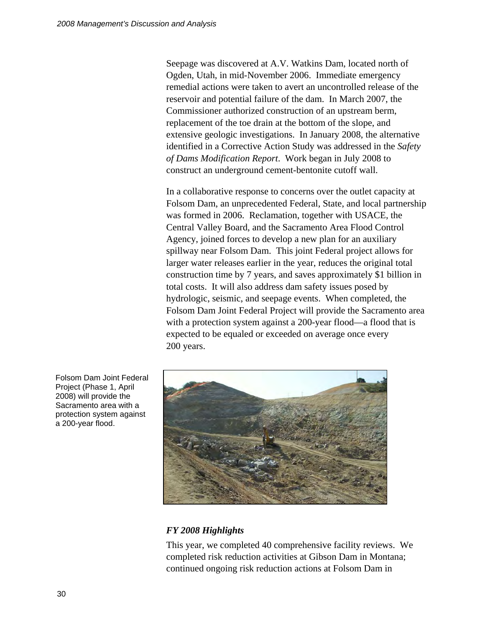Seepage was discovered at A.V. Watkins Dam, located north of Ogden, Utah, in mid-November 2006. Immediate emergency remedial actions were taken to avert an uncontrolled release of the reservoir and potential failure of the dam. In March 2007, the Commissioner authorized construction of an upstream berm, replacement of the toe drain at the bottom of the slope, and extensive geologic investigations. In January 2008, the alternative identified in a Corrective Action Study was addressed in the *Safety of Dams Modification Report*. Work began in July 2008 to construct an underground cement-bentonite cutoff wall.

In a collaborative response to concerns over the outlet capacity at Folsom Dam, an unprecedented Federal, State, and local partnership was formed in 2006. Reclamation, together with USACE, the Central Valley Board, and the Sacramento Area Flood Control Agency, joined forces to develop a new plan for an auxiliary spillway near Folsom Dam. This joint Federal project allows for larger water releases earlier in the year, reduces the original total construction time by 7 years, and saves approximately \$1 billion in total costs. It will also address dam safety issues posed by hydrologic, seismic, and seepage events. When completed, the Folsom Dam Joint Federal Project will provide the Sacramento area with a protection system against a 200-year flood—a flood that is expected to be equaled or exceeded on average once every 200 years.



#### *FY 2008 Highlights*

This year, we completed 40 comprehensive facility reviews. We completed risk reduction activities at Gibson Dam in Montana; continued ongoing risk reduction actions at Folsom Dam in

Folsom Dam Joint Federal Project (Phase 1, April 2008) will provide the Sacramento area with a protection system against a 200-year flood.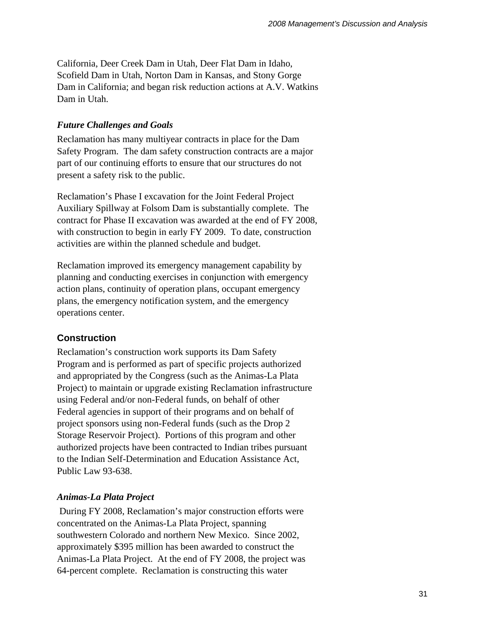California, Deer Creek Dam in Utah, Deer Flat Dam in Idaho, Scofield Dam in Utah, Norton Dam in Kansas, and Stony Gorge Dam in California; and began risk reduction actions at A.V. Watkins Dam in Utah.

### *Future Challenges and Goals*

Reclamation has many multiyear contracts in place for the Dam Safety Program. The dam safety construction contracts are a major part of our continuing efforts to ensure that our structures do not present a safety risk to the public.

Reclamation's Phase I excavation for the Joint Federal Project Auxiliary Spillway at Folsom Dam is substantially complete. The contract for Phase II excavation was awarded at the end of FY 2008, with construction to begin in early FY 2009. To date, construction activities are within the planned schedule and budget.

Reclamation improved its emergency management capability by planning and conducting exercises in conjunction with emergency action plans, continuity of operation plans, occupant emergency plans, the emergency notification system, and the emergency operations center.

### **Construction**

Reclamation's construction work supports its Dam Safety Program and is performed as part of specific projects authorized and appropriated by the Congress (such as the Animas-La Plata Project) to maintain or upgrade existing Reclamation infrastructure using Federal and/or non-Federal funds, on behalf of other Federal agencies in support of their programs and on behalf of project sponsors using non-Federal funds (such as the Drop 2 Storage Reservoir Project). Portions of this program and other authorized projects have been contracted to Indian tribes pursuant to the Indian Self-Determination and Education Assistance Act, Public Law 93-638.

### *Animas-La Plata Project*

During FY 2008, Reclamation's major construction efforts were concentrated on the Animas-La Plata Project, spanning southwestern Colorado and northern New Mexico. Since 2002, approximately \$395 million has been awarded to construct the Animas-La Plata Project. At the end of FY 2008, the project was 64-percent complete. Reclamation is constructing this water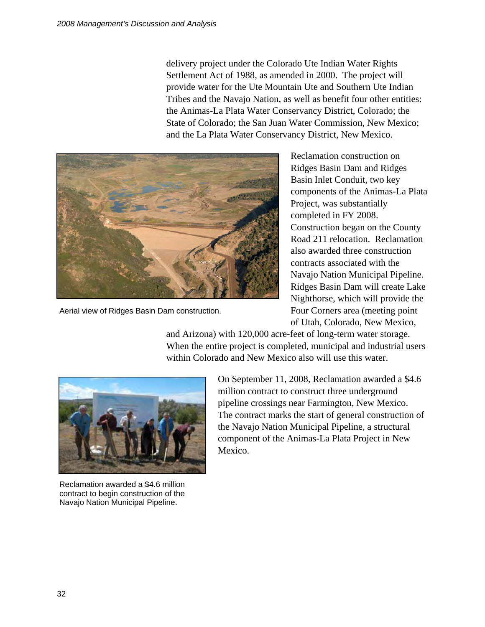delivery project under the Colorado Ute Indian Water Rights Settlement Act of 1988, as amended in 2000. The project will provide water for the Ute Mountain Ute and Southern Ute Indian Tribes and the Navajo Nation, as well as benefit four other entities: the Animas-La Plata Water Conservancy District, Colorado; the State of Colorado; the San Juan Water Commission, New Mexico; and the La Plata Water Conservancy District, New Mexico.



Aerial view of Ridges Basin Dam construction.

Reclamation construction on Ridges Basin Dam and Ridges Basin Inlet Conduit, two key components of the Animas-La Plata Project, was substantially completed in FY 2008. Construction began on the County Road 211 relocation. Reclamation also awarded three construction contracts associated with the Navajo Nation Municipal Pipeline. Ridges Basin Dam will create Lake Nighthorse, which will provide the Four Corners area (meeting point of Utah, Colorado, New Mexico,

and Arizona) with 120,000 acre-feet of long-term water storage. When the entire project is completed, municipal and industrial users within Colorado and New Mexico also will use this water.



Reclamation awarded a \$4.6 million contract to begin construction of the Navajo Nation Municipal Pipeline.

On September 11, 2008, Reclamation awarded a \$4.6 million contract to construct three underground pipeline crossings near Farmington, New Mexico. The contract marks the start of general construction of the Navajo Nation Municipal Pipeline, a structural component of the Animas-La Plata Project in New Mexico.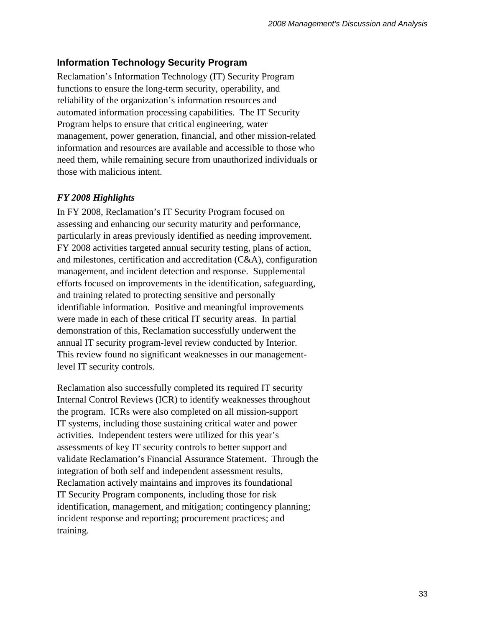## **Information Technology Security Program**

Reclamation's Information Technology (IT) Security Program functions to ensure the long-term security, operability, and reliability of the organization's information resources and automated information processing capabilities. The IT Security Program helps to ensure that critical engineering, water management, power generation, financial, and other mission-related information and resources are available and accessible to those who need them, while remaining secure from unauthorized individuals or those with malicious intent.

### *FY 2008 Highlights*

In FY 2008, Reclamation's IT Security Program focused on assessing and enhancing our security maturity and performance, particularly in areas previously identified as needing improvement. FY 2008 activities targeted annual security testing, plans of action, and milestones, certification and accreditation (C&A), configuration management, and incident detection and response. Supplemental efforts focused on improvements in the identification, safeguarding, and training related to protecting sensitive and personally identifiable information. Positive and meaningful improvements were made in each of these critical IT security areas. In partial demonstration of this, Reclamation successfully underwent the annual IT security program-level review conducted by Interior. This review found no significant weaknesses in our managementlevel IT security controls.

Reclamation also successfully completed its required IT security Internal Control Reviews (ICR) to identify weaknesses throughout the program. ICRs were also completed on all mission-support IT systems, including those sustaining critical water and power activities. Independent testers were utilized for this year's assessments of key IT security controls to better support and validate Reclamation's Financial Assurance Statement. Through the integration of both self and independent assessment results, Reclamation actively maintains and improves its foundational IT Security Program components, including those for risk identification, management, and mitigation; contingency planning; incident response and reporting; procurement practices; and training.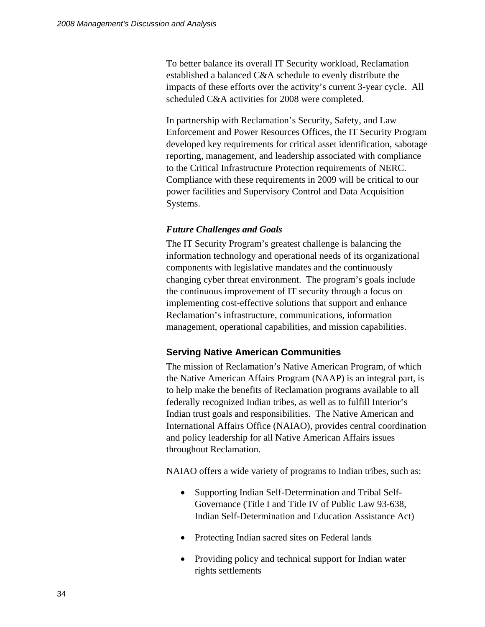To better balance its overall IT Security workload, Reclamation established a balanced C&A schedule to evenly distribute the impacts of these efforts over the activity's current 3-year cycle. All scheduled C&A activities for 2008 were completed.

In partnership with Reclamation's Security, Safety, and Law Enforcement and Power Resources Offices, the IT Security Program developed key requirements for critical asset identification, sabotage reporting, management, and leadership associated with compliance to the Critical Infrastructure Protection requirements of NERC. Compliance with these requirements in 2009 will be critical to our power facilities and Supervisory Control and Data Acquisition Systems.

#### *Future Challenges and Goals*

The IT Security Program's greatest challenge is balancing the information technology and operational needs of its organizational components with legislative mandates and the continuously changing cyber threat environment. The program's goals include the continuous improvement of IT security through a focus on implementing cost-effective solutions that support and enhance Reclamation's infrastructure, communications, information management, operational capabilities, and mission capabilities.

#### **Serving Native American Communities**

The mission of Reclamation's Native American Program, of which the Native American Affairs Program (NAAP) is an integral part, is to help make the benefits of Reclamation programs available to all federally recognized Indian tribes, as well as to fulfill Interior's Indian trust goals and responsibilities. The Native American and International Affairs Office (NAIAO), provides central coordination and policy leadership for all Native American Affairs issues throughout Reclamation.

NAIAO offers a wide variety of programs to Indian tribes, such as:

- Supporting Indian Self-Determination and Tribal Self-Governance (Title I and Title IV of Public Law 93-638, Indian Self-Determination and Education Assistance Act)
- Protecting Indian sacred sites on Federal lands
- Providing policy and technical support for Indian water rights settlements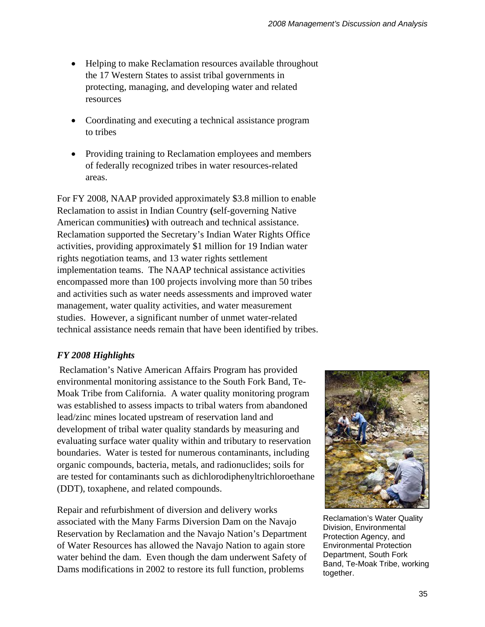- Helping to make Reclamation resources available throughout the 17 Western States to assist tribal governments in protecting, managing, and developing water and related resources
- Coordinating and executing a technical assistance program to tribes
- Providing training to Reclamation employees and members of federally recognized tribes in water resources-related areas.

For FY 2008, NAAP provided approximately \$3.8 million to enable Reclamation to assist in Indian Country **(**self-governing Native American communities**)** with outreach and technical assistance. Reclamation supported the Secretary's Indian Water Rights Office activities, providing approximately \$1 million for 19 Indian water rights negotiation teams, and 13 water rights settlement implementation teams. The NAAP technical assistance activities encompassed more than 100 projects involving more than 50 tribes and activities such as water needs assessments and improved water management, water quality activities, and water measurement studies. However, a significant number of unmet water-related technical assistance needs remain that have been identified by tribes.

# *FY 2008 Highlights*

Reclamation's Native American Affairs Program has provided environmental monitoring assistance to the South Fork Band, Te-Moak Tribe from California. A water quality monitoring program was established to assess impacts to tribal waters from abandoned lead/zinc mines located upstream of reservation land and development of tribal water quality standards by measuring and evaluating surface water quality within and tributary to reservation boundaries. Water is tested for numerous contaminants, including organic compounds, bacteria, metals, and radionuclides; soils for are tested for contaminants such as dichlorodiphenyltrichloroethane (DDT), toxaphene, and related compounds.

Repair and refurbishment of diversion and delivery works associated with the Many Farms Diversion Dam on the Navajo Reservation by Reclamation and the Navajo Nation's Department of Water Resources has allowed the Navajo Nation to again store water behind the dam. Even though the dam underwent Safety of Dams modifications in 2002 to restore its full function, problems



Reclamation's Water Quality Division, Environmental Protection Agency, and Environmental Protection Department, South Fork Band, Te-Moak Tribe, working together.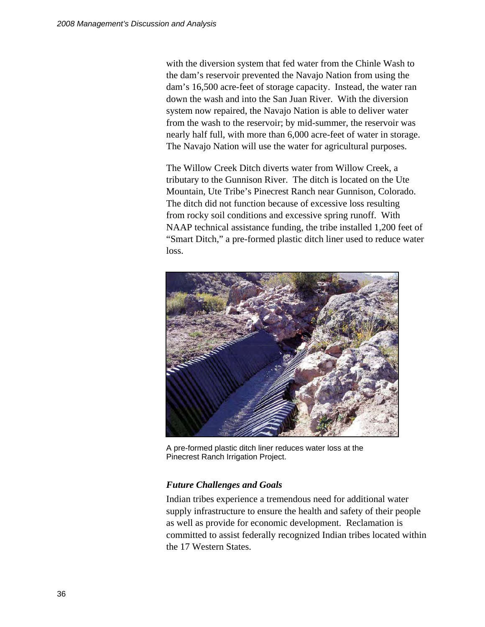with the diversion system that fed water from the Chinle Wash to the dam's reservoir prevented the Navajo Nation from using the dam's 16,500 acre-feet of storage capacity. Instead, the water ran down the wash and into the San Juan River. With the diversion system now repaired, the Navajo Nation is able to deliver water from the wash to the reservoir; by mid-summer, the reservoir was nearly half full, with more than 6,000 acre-feet of water in storage. The Navajo Nation will use the water for agricultural purposes.

The Willow Creek Ditch diverts water from Willow Creek, a tributary to the Gunnison River. The ditch is located on the Ute Mountain, Ute Tribe's Pinecrest Ranch near Gunnison, Colorado. The ditch did not function because of excessive loss resulting from rocky soil conditions and excessive spring runoff. With NAAP technical assistance funding, the tribe installed 1,200 feet of "Smart Ditch," a pre-formed plastic ditch liner used to reduce water loss.



A pre-formed plastic ditch liner reduces water loss at the Pinecrest Ranch Irrigation Project.

# *Future Challenges and Goals*

Indian tribes experience a tremendous need for additional water supply infrastructure to ensure the health and safety of their people as well as provide for economic development. Reclamation is committed to assist federally recognized Indian tribes located within the 17 Western States.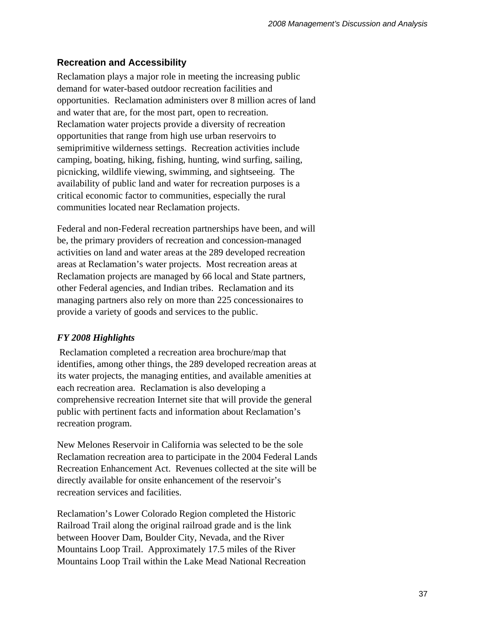# **Recreation and Accessibility**

Reclamation plays a major role in meeting the increasing public demand for water-based outdoor recreation facilities and opportunities. Reclamation administers over 8 million acres of land and water that are, for the most part, open to recreation. Reclamation water projects provide a diversity of recreation opportunities that range from high use urban reservoirs to semiprimitive wilderness settings. Recreation activities include camping, boating, hiking, fishing, hunting, wind surfing, sailing, picnicking, wildlife viewing, swimming, and sightseeing. The availability of public land and water for recreation purposes is a critical economic factor to communities, especially the rural communities located near Reclamation projects.

Federal and non-Federal recreation partnerships have been, and will be, the primary providers of recreation and concession-managed activities on land and water areas at the 289 developed recreation areas at Reclamation's water projects. Most recreation areas at Reclamation projects are managed by 66 local and State partners, other Federal agencies, and Indian tribes. Reclamation and its managing partners also rely on more than 225 concessionaires to provide a variety of goods and services to the public.

# *FY 2008 Highlights*

Reclamation completed a recreation area brochure/map that identifies, among other things, the 289 developed recreation areas at its water projects, the managing entities, and available amenities at each recreation area. Reclamation is also developing a comprehensive recreation Internet site that will provide the general public with pertinent facts and information about Reclamation's recreation program.

New Melones Reservoir in California was selected to be the sole Reclamation recreation area to participate in the 2004 Federal Lands Recreation Enhancement Act. Revenues collected at the site will be directly available for onsite enhancement of the reservoir's recreation services and facilities.

Reclamation's Lower Colorado Region completed the Historic Railroad Trail along the original railroad grade and is the link between Hoover Dam, Boulder City, Nevada, and the River Mountains Loop Trail. Approximately 17.5 miles of the River Mountains Loop Trail within the Lake Mead National Recreation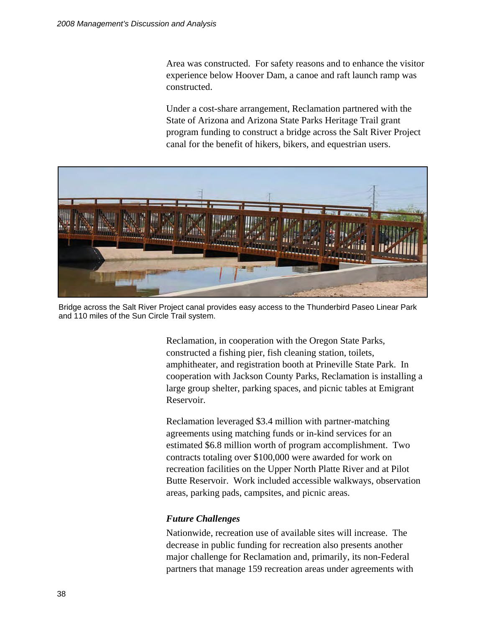Area was constructed. For safety reasons and to enhance the visitor experience below Hoover Dam, a canoe and raft launch ramp was constructed.

Under a cost-share arrangement, Reclamation partnered with the State of Arizona and Arizona State Parks Heritage Trail grant program funding to construct a bridge across the Salt River Project canal for the benefit of hikers, bikers, and equestrian users.



Bridge across the Salt River Project canal provides easy access to the Thunderbird Paseo Linear Park and 110 miles of the Sun Circle Trail system.

Reclamation, in cooperation with the Oregon State Parks, constructed a fishing pier, fish cleaning station, toilets, amphitheater, and registration booth at Prineville State Park. In cooperation with Jackson County Parks, Reclamation is installing a large group shelter, parking spaces, and picnic tables at Emigrant Reservoir.

Reclamation leveraged \$3.4 million with partner-matching agreements using matching funds or in-kind services for an estimated \$6.8 million worth of program accomplishment. Two contracts totaling over \$100,000 were awarded for work on recreation facilities on the Upper North Platte River and at Pilot Butte Reservoir. Work included accessible walkways, observation areas, parking pads, campsites, and picnic areas.

### *Future Challenges*

Nationwide, recreation use of available sites will increase. The decrease in public funding for recreation also presents another major challenge for Reclamation and, primarily, its non-Federal partners that manage 159 recreation areas under agreements with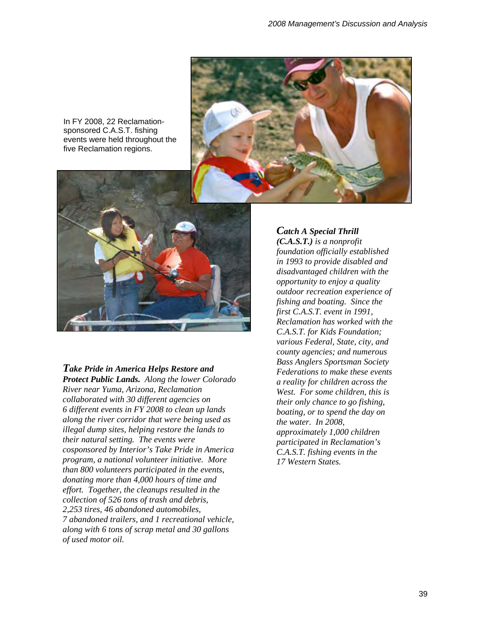

In FY 2008, 22 Reclamationsponsored C.A.S.T. fishing events were held throughout the five Reclamation regions.



#### *Take Pride in America Helps Restore and*

*Protect Public Lands. Along the lower Colorado River near Yuma, Arizona, Reclamation collaborated with 30 different agencies on 6 different events in FY 2008 to clean up lands along the river corridor that were being used as illegal dump sites, helping restore the lands to their natural setting. The events were cosponsored by Interior's Take Pride in America program, a national volunteer initiative. More than 800 volunteers participated in the events, donating more than 4,000 hours of time and effort. Together, the cleanups resulted in the collection of 526 tons of trash and debris, 2,253 tires, 46 abandoned automobiles, 7 abandoned trailers, and 1 recreational vehicle, along with 6 tons of scrap metal and 30 gallons of used motor oil.* 

#### *Catch A Special Thrill*

*(C.A.S.T.) is a nonprofit foundation officially established in 1993 to provide disabled and disadvantaged children with the opportunity to enjoy a quality outdoor recreation experience of fishing and boating. Since the first C.A.S.T. event in 1991, Reclamation has worked with the C.A.S.T. for Kids Foundation; various Federal, State, city, and county agencies; and numerous Bass Anglers Sportsman Society Federations to make these events a reality for children across the West. For some children, this is their only chance to go fishing, boating, or to spend the day on the water. In 2008, approximately 1,000 children participated in Reclamation's C.A.S.T. fishing events in the 17 Western States.*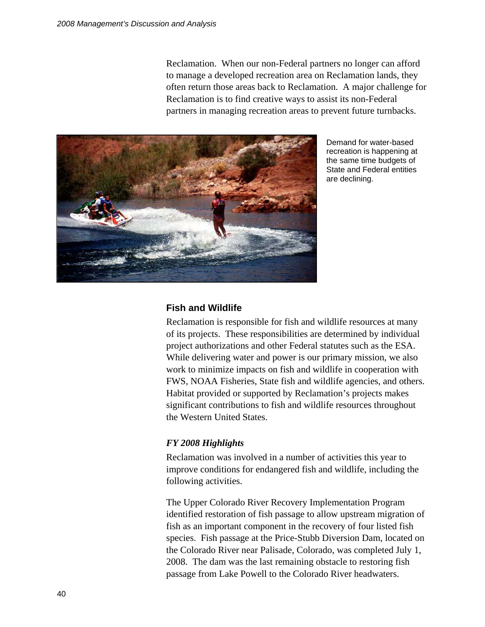Reclamation. When our non-Federal partners no longer can afford to manage a developed recreation area on Reclamation lands, they often return those areas back to Reclamation. A major challenge for Reclamation is to find creative ways to assist its non-Federal partners in managing recreation areas to prevent future turnbacks.



Demand for water-based recreation is happening at the same time budgets of State and Federal entities are declining.

#### **Fish and Wildlife**

Reclamation is responsible for fish and wildlife resources at many of its projects. These responsibilities are determined by individual project authorizations and other Federal statutes such as the ESA. While delivering water and power is our primary mission, we also work to minimize impacts on fish and wildlife in cooperation with FWS, NOAA Fisheries, State fish and wildlife agencies, and others. Habitat provided or supported by Reclamation's projects makes significant contributions to fish and wildlife resources throughout the Western United States.

#### *FY 2008 Highlights*

Reclamation was involved in a number of activities this year to improve conditions for endangered fish and wildlife, including the following activities.

The Upper Colorado River Recovery Implementation Program identified restoration of fish passage to allow upstream migration of fish as an important component in the recovery of four listed fish species. Fish passage at the Price-Stubb Diversion Dam, located on the Colorado River near Palisade, Colorado, was completed July 1, 2008. The dam was the last remaining obstacle to restoring fish passage from Lake Powell to the Colorado River headwaters.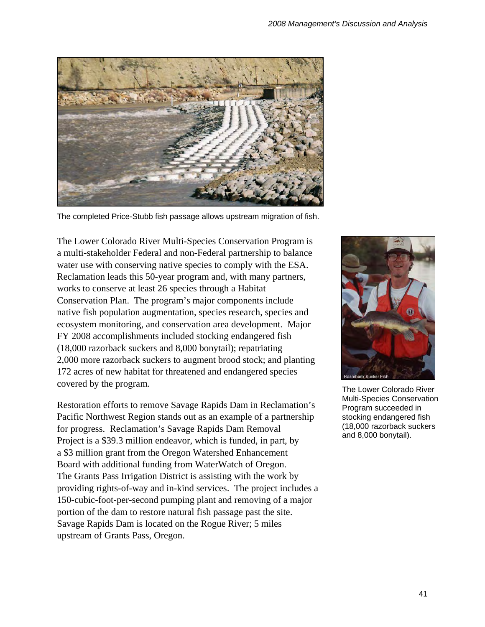

The completed Price-Stubb fish passage allows upstream migration of fish.

The Lower Colorado River Multi-Species Conservation Program is a multi-stakeholder Federal and non-Federal partnership to balance water use with conserving native species to comply with the ESA. Reclamation leads this 50-year program and, with many partners, works to conserve at least 26 species through a Habitat Conservation Plan. The program's major components include native fish population augmentation, species research, species and ecosystem monitoring, and conservation area development. Major FY 2008 accomplishments included stocking endangered fish (18,000 razorback suckers and 8,000 bonytail); repatriating 2,000 more razorback suckers to augment brood stock; and planting 172 acres of new habitat for threatened and endangered species covered by the program.

Restoration efforts to remove Savage Rapids Dam in Reclamation's Pacific Northwest Region stands out as an example of a partnership for progress. Reclamation's Savage Rapids Dam Removal Project is a \$39.3 million endeavor, which is funded, in part, by a \$3 million grant from the Oregon Watershed Enhancement Board with additional funding from WaterWatch of Oregon. The Grants Pass Irrigation District is assisting with the work by providing rights-of-way and in-kind services. The project includes a 150-cubic-foot-per-second pumping plant and removing of a major portion of the dam to restore natural fish passage past the site. Savage Rapids Dam is located on the Rogue River; 5 miles upstream of Grants Pass, Oregon.



The Lower Colorado River Multi-Species Conservation Program succeeded in stocking endangered fish (18,000 razorback suckers and 8,000 bonytail).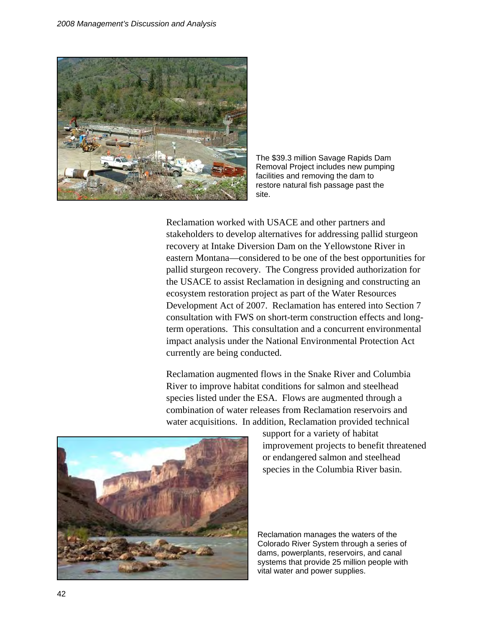

The \$39.3 million Savage Rapids Dam Removal Project includes new pumping facilities and removing the dam to restore natural fish passage past the site.

Reclamation worked with USACE and other partners and stakeholders to develop alternatives for addressing pallid sturgeon recovery at Intake Diversion Dam on the Yellowstone River in eastern Montana—considered to be one of the best opportunities for pallid sturgeon recovery. The Congress provided authorization for the USACE to assist Reclamation in designing and constructing an ecosystem restoration project as part of the Water Resources Development Act of 2007. Reclamation has entered into Section 7 consultation with FWS on short-term construction effects and longterm operations. This consultation and a concurrent environmental impact analysis under the National Environmental Protection Act currently are being conducted.

Reclamation augmented flows in the Snake River and Columbia River to improve habitat conditions for salmon and steelhead species listed under the ESA. Flows are augmented through a combination of water releases from Reclamation reservoirs and water acquisitions. In addition, Reclamation provided technical



support for a variety of habitat improvement projects to benefit threatened or endangered salmon and steelhead species in the Columbia River basin.

Reclamation manages the waters of the Colorado River System through a series of dams, powerplants, reservoirs, and canal systems that provide 25 million people with vital water and power supplies.